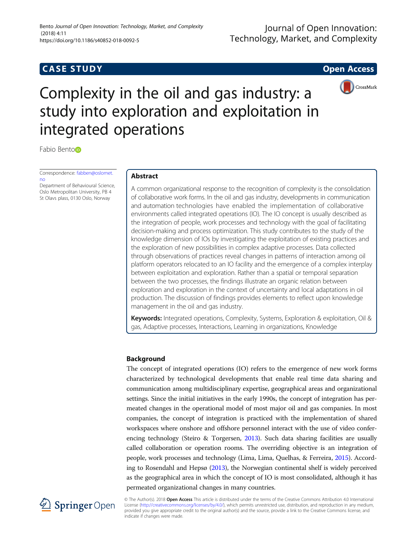## **CASE STUDY** Open Access



# Complexity in the oil and gas industry: a study into exploration and exploitation in integrated operations

Fabi[o](http://orcid.org/0000-0002-9458-8380) Bento

Correspondence: [fabben@oslomet.](mailto:fabben@oslomet.no) [no](mailto:fabben@oslomet.no)

Department of Behavioural Science, Oslo Metropolitan University, PB 4 St Olavs plass, 0130 Oslo, Norway

### Abstract

A common organizational response to the recognition of complexity is the consolidation of collaborative work forms. In the oil and gas industry, developments in communication and automation technologies have enabled the implementation of collaborative environments called integrated operations (IO). The IO concept is usually described as the integration of people, work processes and technology with the goal of facilitating decision-making and process optimization. This study contributes to the study of the knowledge dimension of IOs by investigating the exploitation of existing practices and the exploration of new possibilities in complex adaptive processes. Data collected through observations of practices reveal changes in patterns of interaction among oil platform operators relocated to an IO facility and the emergence of a complex interplay between exploitation and exploration. Rather than a spatial or temporal separation between the two processes, the findings illustrate an organic relation between exploration and exploration in the context of uncertainty and local adaptations in oil production. The discussion of findings provides elements to reflect upon knowledge management in the oil and gas industry.

Keywords: Integrated operations, Complexity, Systems, Exploration & exploitation, Oil & gas, Adaptive processes, Interactions, Learning in organizations, Knowledge

#### Background

The concept of integrated operations (IO) refers to the emergence of new work forms characterized by technological developments that enable real time data sharing and communication among multidisciplinary expertise, geographical areas and organizational settings. Since the initial initiatives in the early 1990s, the concept of integration has permeated changes in the operational model of most major oil and gas companies. In most companies, the concept of integration is practiced with the implementation of shared workspaces where onshore and offshore personnel interact with the use of video conferencing technology (Steiro & Torgersen, [2013\)](#page-16-0). Such data sharing facilities are usually called collaboration or operation rooms. The overriding objective is an integration of people, work processes and technology (Lima, Lima, Quelhas, & Ferreira, [2015\)](#page-15-0). According to Rosendahl and Hepsø [\(2013](#page-16-0)), the Norwegian continental shelf is widely perceived as the geographical area in which the concept of IO is most consolidated, although it has permeated organizational changes in many countries.



© The Author(s). 2018 Open Access This article is distributed under the terms of the Creative Commons Attribution 4.0 International License [\(http://creativecommons.org/licenses/by/4.0/](http://creativecommons.org/licenses/by/4.0/)), which permits unrestricted use, distribution, and reproduction in any medium, provided you give appropriate credit to the original author(s) and the source, provide a link to the Creative Commons license, and indicate if changes were made.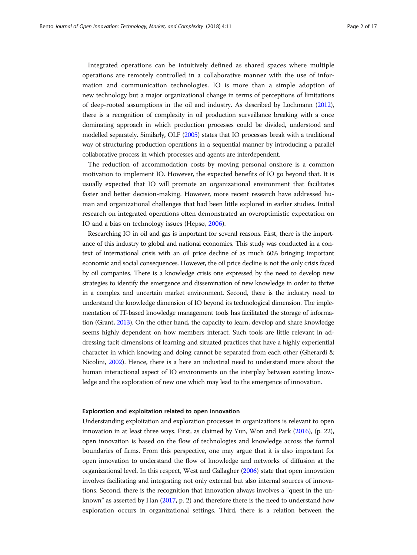Integrated operations can be intuitively defined as shared spaces where multiple operations are remotely controlled in a collaborative manner with the use of information and communication technologies. IO is more than a simple adoption of new technology but a major organizational change in terms of perceptions of limitations of deep-rooted assumptions in the oil and industry. As described by Lochmann ([2012](#page-16-0)), there is a recognition of complexity in oil production surveillance breaking with a once dominating approach in which production processes could be divided, understood and modelled separately. Similarly, OLF [\(2005](#page-16-0)) states that IO processes break with a traditional way of structuring production operations in a sequential manner by introducing a parallel collaborative process in which processes and agents are interdependent.

The reduction of accommodation costs by moving personal onshore is a common motivation to implement IO. However, the expected benefits of IO go beyond that. It is usually expected that IO will promote an organizational environment that facilitates faster and better decision-making. However, more recent research have addressed human and organizational challenges that had been little explored in earlier studies. Initial research on integrated operations often demonstrated an overoptimistic expectation on IO and a bias on technology issues (Hepsø, [2006](#page-15-0)).

Researching IO in oil and gas is important for several reasons. First, there is the importance of this industry to global and national economies. This study was conducted in a context of international crisis with an oil price decline of as much 60% bringing important economic and social consequences. However, the oil price decline is not the only crisis faced by oil companies. There is a knowledge crisis one expressed by the need to develop new strategies to identify the emergence and dissemination of new knowledge in order to thrive in a complex and uncertain market environment. Second, there is the industry need to understand the knowledge dimension of IO beyond its technological dimension. The implementation of IT-based knowledge management tools has facilitated the storage of information (Grant, [2013\)](#page-15-0). On the other hand, the capacity to learn, develop and share knowledge seems highly dependent on how members interact. Such tools are little relevant in addressing tacit dimensions of learning and situated practices that have a highly experiential character in which knowing and doing cannot be separated from each other (Gherardi & Nicolini, [2002](#page-15-0)). Hence, there is a here an industrial need to understand more about the human interactional aspect of IO environments on the interplay between existing knowledge and the exploration of new one which may lead to the emergence of innovation.

#### Exploration and exploitation related to open innovation

Understanding exploitation and exploration processes in organizations is relevant to open innovation in at least three ways. First, as claimed by Yun, Won and Park ([2016](#page-16-0)), (p. 22), open innovation is based on the flow of technologies and knowledge across the formal boundaries of firms. From this perspective, one may argue that it is also important for open innovation to understand the flow of knowledge and networks of diffusion at the organizational level. In this respect, West and Gallagher [\(2006\)](#page-16-0) state that open innovation involves facilitating and integrating not only external but also internal sources of innovations. Second, there is the recognition that innovation always involves a "quest in the unknown" as asserted by Han ([2017](#page-15-0), p. 2) and therefore there is the need to understand how exploration occurs in organizational settings. Third, there is a relation between the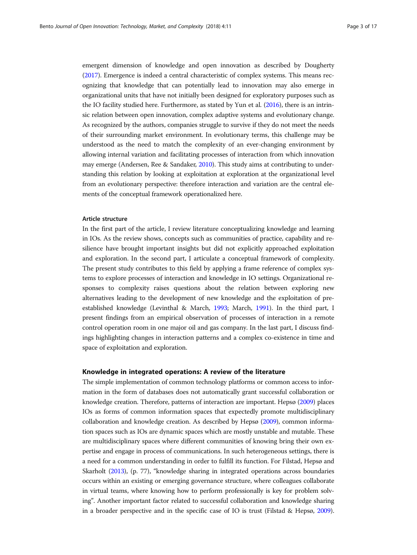emergent dimension of knowledge and open innovation as described by Dougherty ([2017\)](#page-15-0). Emergence is indeed a central characteristic of complex systems. This means recognizing that knowledge that can potentially lead to innovation may also emerge in organizational units that have not initially been designed for exploratory purposes such as the IO facility studied here. Furthermore, as stated by Yun et al. ([2016](#page-16-0)), there is an intrinsic relation between open innovation, complex adaptive systems and evolutionary change. As recognized by the authors, companies struggle to survive if they do not meet the needs of their surrounding market environment. In evolutionary terms, this challenge may be understood as the need to match the complexity of an ever-changing environment by allowing internal variation and facilitating processes of interaction from which innovation may emerge (Andersen, Ree & Sandaker, [2010](#page-15-0)). This study aims at contributing to understanding this relation by looking at exploitation at exploration at the organizational level from an evolutionary perspective: therefore interaction and variation are the central elements of the conceptual framework operationalized here.

#### Article structure

In the first part of the article, I review literature conceptualizing knowledge and learning in IOs. As the review shows, concepts such as communities of practice, capability and resilience have brought important insights but did not explicitly approached exploitation and exploration. In the second part, I articulate a conceptual framework of complexity. The present study contributes to this field by applying a frame reference of complex systems to explore processes of interaction and knowledge in IO settings. Organizational responses to complexity raises questions about the relation between exploring new alternatives leading to the development of new knowledge and the exploitation of preestablished knowledge (Levinthal & March, [1993;](#page-15-0) March, [1991\)](#page-16-0). In the third part, I present findings from an empirical observation of processes of interaction in a remote control operation room in one major oil and gas company. In the last part, I discuss findings highlighting changes in interaction patterns and a complex co-existence in time and space of exploitation and exploration.

#### Knowledge in integrated operations: A review of the literature

The simple implementation of common technology platforms or common access to information in the form of databases does not automatically grant successful collaboration or knowledge creation. Therefore, patterns of interaction are important. Hepsø [\(2009](#page-15-0)) places IOs as forms of common information spaces that expectedly promote multidisciplinary collaboration and knowledge creation. As described by Hepsø [\(2009\)](#page-15-0), common information spaces such as IOs are dynamic spaces which are mostly unstable and mutable. These are multidisciplinary spaces where different communities of knowing bring their own expertise and engage in process of communications. In such heterogeneous settings, there is a need for a common understanding in order to fulfill its function. For Filstad, Hepsø and Skarholt [\(2013](#page-15-0)), (p. 77), "knowledge sharing in integrated operations across boundaries occurs within an existing or emerging governance structure, where colleagues collaborate in virtual teams, where knowing how to perform professionally is key for problem solving". Another important factor related to successful collaboration and knowledge sharing in a broader perspective and in the specific case of IO is trust (Filstad & Hepsø, [2009](#page-15-0)).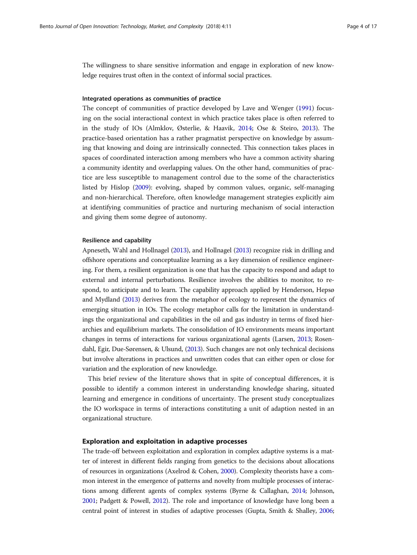The willingness to share sensitive information and engage in exploration of new knowledge requires trust often in the context of informal social practices.

#### Integrated operations as communities of practice

The concept of communities of practice developed by Lave and Wenger [\(1991\)](#page-15-0) focusing on the social interactional context in which practice takes place is often referred to in the study of IOs (Almklov, Østerlie, & Haavik, [2014](#page-15-0); Ose & Steiro, [2013](#page-16-0)). The practice-based orientation has a rather pragmatist perspective on knowledge by assuming that knowing and doing are intrinsically connected. This connection takes places in spaces of coordinated interaction among members who have a common activity sharing a community identity and overlapping values. On the other hand, communities of practice are less susceptible to management control due to the some of the characteristics listed by Hislop ([2009](#page-15-0)): evolving, shaped by common values, organic, self-managing and non-hierarchical. Therefore, often knowledge management strategies explicitly aim at identifying communities of practice and nurturing mechanism of social interaction and giving them some degree of autonomy.

#### Resilience and capability

Apneseth, Wahl and Hollnagel [\(2013\)](#page-15-0), and Hollnagel ([2013](#page-15-0)) recognize risk in drilling and offshore operations and conceptualize learning as a key dimension of resilience engineering. For them, a resilient organization is one that has the capacity to respond and adapt to external and internal perturbations. Resilience involves the abilities to monitor, to respond, to anticipate and to learn. The capability approach applied by Henderson, Hepsø and Mydland ([2013](#page-15-0)) derives from the metaphor of ecology to represent the dynamics of emerging situation in IOs. The ecology metaphor calls for the limitation in understandings the organizational and capabilities in the oil and gas industry in terms of fixed hierarchies and equilibrium markets. The consolidation of IO environments means important changes in terms of interactions for various organizational agents (Larsen, [2013](#page-15-0); Rosendahl, Egir, Due-Sørensen, & Ulsund, [\(2013\)](#page-16-0). Such changes are not only technical decisions but involve alterations in practices and unwritten codes that can either open or close for variation and the exploration of new knowledge.

This brief review of the literature shows that in spite of conceptual differences, it is possible to identify a common interest in understanding knowledge sharing, situated learning and emergence in conditions of uncertainty. The present study conceptualizes the IO workspace in terms of interactions constituting a unit of adaption nested in an organizational structure.

#### Exploration and exploitation in adaptive processes

The trade-off between exploitation and exploration in complex adaptive systems is a matter of interest in different fields ranging from genetics to the decisions about allocations of resources in organizations (Axelrod & Cohen, [2000](#page-15-0)). Complexity theorists have a common interest in the emergence of patterns and novelty from multiple processes of interactions among different agents of complex systems (Byrne & Callaghan, [2014](#page-15-0); Johnson, [2001;](#page-15-0) Padgett & Powell, [2012](#page-16-0)). The role and importance of knowledge have long been a central point of interest in studies of adaptive processes (Gupta, Smith & Shalley, [2006](#page-15-0);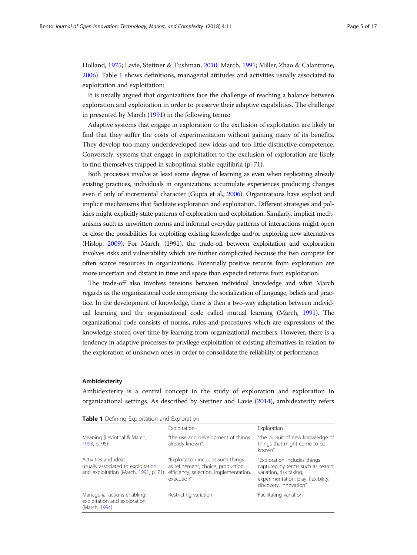Holland, [1975;](#page-15-0) Lavie, Stettner & Tushman, [2010](#page-15-0); March, [1991](#page-16-0); Miller, Zhao & Calantrone, [2006\)](#page-16-0). Table 1 shows definitions, managerial attitudes and activities usually associated to exploitation and exploitation:

It is usually argued that organizations face the challenge of reaching a balance between exploration and exploitation in order to preserve their adaptive capabilities. The challenge in presented by March ([1991](#page-16-0)) in the following terms:

Adaptive systems that engage in exploration to the exclusion of exploitation are likely to find that they suffer the costs of experimentation without gaining many of its benefits. They develop too many underdeveloped new ideas and too little distinctive competence. Conversely, systems that engage in exploitation to the exclusion of exploration are likely to find themselves trapped in suboptimal stable equilibria (p. 71).

Both processes involve at least some degree of learning as even when replicating already existing practices, individuals in organizations accumulate experiences producing changes even if only of incremental character (Gupta et al., [2006](#page-15-0)). Organizations have explicit and implicit mechanisms that facilitate exploration and exploitation. Different strategies and policies might explicitly state patterns of exploration and exploitation. Similarly, implicit mechanisms such as unwritten norms and informal everyday patterns of interactions might open or close the possibilities for exploiting existing knowledge and/or exploring new alternatives (Hislop, [2009](#page-15-0)). For March, (1991), the trade-off between exploitation and exploration involves risks and vulnerability which are further complicated because the two compete for often scarce resources in organizations. Potentially positive returns from exploration are more uncertain and distant in time and space than expected returns from exploitation.

The trade-off also involves tensions between individual knowledge and what March regards as the organizational code comprising the socialization of language, beliefs and practice. In the development of knowledge, there is then a two-way adaptation between individual learning and the organizational code called mutual learning (March, [1991](#page-16-0)). The organizational code consists of norms, rules and procedures which are expressions of the knowledge stored over time by learning from organizational members. However, there is a tendency in adaptive processes to privilege exploitation of existing alternatives in relation to the exploration of unknown ones in order to consolidate the reliability of performance.

#### Ambidexterity

Ambidexterity is a central concept in the study of exploration and exploration in organizational settings. As described by Stettner and Lavie ([2014\)](#page-16-0), ambidexterity refers

| Table 1 Defining Exploitation and Exploration |  |  |
|-----------------------------------------------|--|--|
|-----------------------------------------------|--|--|

|                                                                                                     | Exploitation                                                                                                                     | Exploration                                                                                                                                                   |
|-----------------------------------------------------------------------------------------------------|----------------------------------------------------------------------------------------------------------------------------------|---------------------------------------------------------------------------------------------------------------------------------------------------------------|
| Meaning (Levinthal & March,<br>1993, p. 95)                                                         | "the use and development of things<br>already known".                                                                            | "the pursuit of new knowledge of<br>things that might come to be<br>known"                                                                                    |
| Activities and ideas<br>usually associated to exploitation<br>and exploitation (March, 1991, p. 71) | "Exploitation includes such things<br>as refinement, choice, production,<br>efficiency, selection, implementation,<br>execution" | "Exploration includes things<br>captured by terms such as search,<br>variation, risk taking,<br>experimentation, play, flexibility,<br>discovery, innovation" |
| Managerial actions enabling<br>exploitation and exploration<br>(March, 1994)                        | Restricting variation                                                                                                            | Facilitating variation                                                                                                                                        |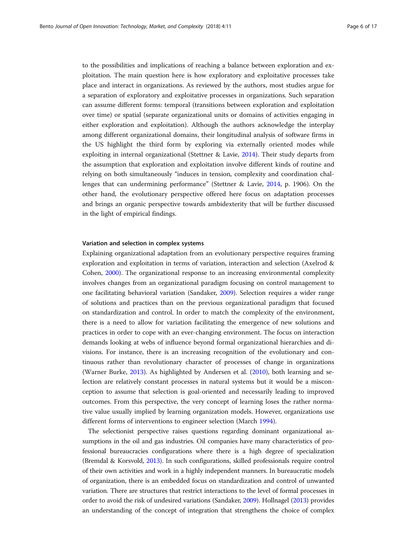to the possibilities and implications of reaching a balance between exploration and exploitation. The main question here is how exploratory and exploitative processes take place and interact in organizations. As reviewed by the authors, most studies argue for a separation of exploratory and exploitative processes in organizations. Such separation can assume different forms: temporal (transitions between exploration and exploitation over time) or spatial (separate organizational units or domains of activities engaging in either exploration and exploitation). Although the authors acknowledge the interplay among different organizational domains, their longitudinal analysis of software firms in the US highlight the third form by exploring via externally oriented modes while exploiting in internal organizational (Stettner & Lavie, [2014\)](#page-16-0). Their study departs from the assumption that exploration and exploitation involve different kinds of routine and relying on both simultaneously "induces in tension, complexity and coordination challenges that can undermining performance" (Stettner & Lavie, [2014,](#page-16-0) p. 1906). On the other hand, the evolutionary perspective offered here focus on adaptation processes and brings an organic perspective towards ambidexterity that will be further discussed in the light of empirical findings.

#### Variation and selection in complex systems

Explaining organizational adaptation from an evolutionary perspective requires framing exploration and exploitation in terms of variation, interaction and selection (Axelrod & Cohen, [2000\)](#page-15-0). The organizational response to an increasing environmental complexity involves changes from an organizational paradigm focusing on control management to one facilitating behavioral variation (Sandaker, [2009\)](#page-16-0). Selection requires a wider range of solutions and practices than on the previous organizational paradigm that focused on standardization and control. In order to match the complexity of the environment, there is a need to allow for variation facilitating the emergence of new solutions and practices in order to cope with an ever-changing environment. The focus on interaction demands looking at webs of influence beyond formal organizational hierarchies and divisions. For instance, there is an increasing recognition of the evolutionary and continuous rather than revolutionary character of processes of change in organizations (Warner Burke, [2013](#page-16-0)). As highlighted by Andersen et al. [\(2010\)](#page-15-0), both learning and selection are relatively constant processes in natural systems but it would be a misconception to assume that selection is goal-oriented and necessarily leading to improved outcomes. From this perspective, the very concept of learning loses the rather normative value usually implied by learning organization models. However, organizations use different forms of interventions to engineer selection (March [1994](#page-16-0)).

The selectionist perspective raises questions regarding dominant organizational assumptions in the oil and gas industries. Oil companies have many characteristics of professional bureaucracies configurations where there is a high degree of specialization (Bremdal & Korsvold, [2013](#page-15-0)). In such configurations, skilled professionals require control of their own activities and work in a highly independent manners. In bureaucratic models of organization, there is an embedded focus on standardization and control of unwanted variation. There are structures that restrict interactions to the level of formal processes in order to avoid the risk of undesired variations (Sandaker, [2009\)](#page-16-0). Hollnagel ([2013\)](#page-15-0) provides an understanding of the concept of integration that strengthens the choice of complex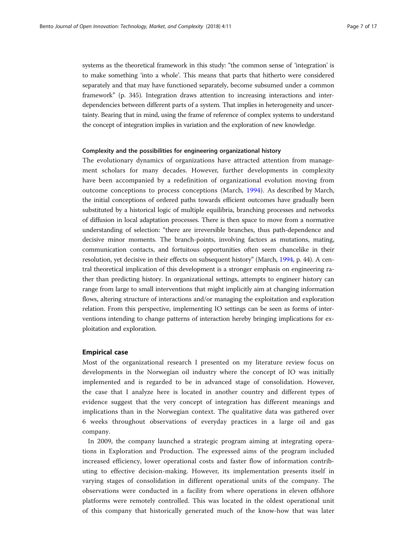systems as the theoretical framework in this study: "the common sense of 'integration' is to make something 'into a whole'. This means that parts that hitherto were considered separately and that may have functioned separately, become subsumed under a common framework" (p. 345). Integration draws attention to increasing interactions and interdependencies between different parts of a system. That implies in heterogeneity and uncertainty. Bearing that in mind, using the frame of reference of complex systems to understand the concept of integration implies in variation and the exploration of new knowledge.

#### Complexity and the possibilities for engineering organizational history

The evolutionary dynamics of organizations have attracted attention from management scholars for many decades. However, further developments in complexity have been accompanied by a redefinition of organizational evolution moving from outcome conceptions to process conceptions (March, [1994](#page-16-0)). As described by March, the initial conceptions of ordered paths towards efficient outcomes have gradually been substituted by a historical logic of multiple equilibria, branching processes and networks of diffusion in local adaptation processes. There is then space to move from a normative understanding of selection: "there are irreversible branches, thus path-dependence and decisive minor moments. The branch-points, involving factors as mutations, mating, communication contacts, and fortuitous opportunities often seem chancelike in their resolution, yet decisive in their effects on subsequent history" (March, [1994,](#page-16-0) p. 44). A central theoretical implication of this development is a stronger emphasis on engineering rather than predicting history. In organizational settings, attempts to engineer history can range from large to small interventions that might implicitly aim at changing information flows, altering structure of interactions and/or managing the exploitation and exploration relation. From this perspective, implementing IO settings can be seen as forms of interventions intending to change patterns of interaction hereby bringing implications for exploitation and exploration.

#### Empirical case

Most of the organizational research I presented on my literature review focus on developments in the Norwegian oil industry where the concept of IO was initially implemented and is regarded to be in advanced stage of consolidation. However, the case that I analyze here is located in another country and different types of evidence suggest that the very concept of integration has different meanings and implications than in the Norwegian context. The qualitative data was gathered over 6 weeks throughout observations of everyday practices in a large oil and gas company.

In 2009, the company launched a strategic program aiming at integrating operations in Exploration and Production. The expressed aims of the program included increased efficiency, lower operational costs and faster flow of information contributing to effective decision-making. However, its implementation presents itself in varying stages of consolidation in different operational units of the company. The observations were conducted in a facility from where operations in eleven offshore platforms were remotely controlled. This was located in the oldest operational unit of this company that historically generated much of the know-how that was later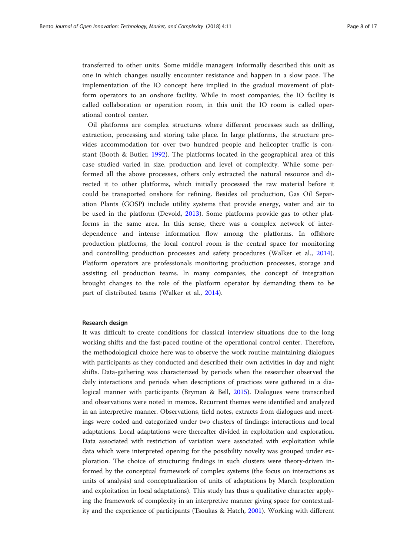transferred to other units. Some middle managers informally described this unit as one in which changes usually encounter resistance and happen in a slow pace. The implementation of the IO concept here implied in the gradual movement of platform operators to an onshore facility. While in most companies, the IO facility is called collaboration or operation room, in this unit the IO room is called operational control center.

Oil platforms are complex structures where different processes such as drilling, extraction, processing and storing take place. In large platforms, the structure provides accommodation for over two hundred people and helicopter traffic is constant (Booth & Butler, [1992](#page-15-0)). The platforms located in the geographical area of this case studied varied in size, production and level of complexity. While some performed all the above processes, others only extracted the natural resource and directed it to other platforms, which initially processed the raw material before it could be transported onshore for refining. Besides oil production, Gas Oil Separation Plants (GOSP) include utility systems that provide energy, water and air to be used in the platform (Devold, [2013\)](#page-15-0). Some platforms provide gas to other platforms in the same area. In this sense, there was a complex network of interdependence and intense information flow among the platforms. In offshore production platforms, the local control room is the central space for monitoring and controlling production processes and safety procedures (Walker et al., [2014](#page-16-0)). Platform operators are professionals monitoring production processes, storage and assisting oil production teams. In many companies, the concept of integration brought changes to the role of the platform operator by demanding them to be part of distributed teams (Walker et al., [2014\)](#page-16-0).

#### Research design

It was difficult to create conditions for classical interview situations due to the long working shifts and the fast-paced routine of the operational control center. Therefore, the methodological choice here was to observe the work routine maintaining dialogues with participants as they conducted and described their own activities in day and night shifts. Data-gathering was characterized by periods when the researcher observed the daily interactions and periods when descriptions of practices were gathered in a dialogical manner with participants (Bryman & Bell, [2015](#page-15-0)). Dialogues were transcribed and observations were noted in memos. Recurrent themes were identified and analyzed in an interpretive manner. Observations, field notes, extracts from dialogues and meetings were coded and categorized under two clusters of findings: interactions and local adaptations. Local adaptations were thereafter divided in exploitation and exploration. Data associated with restriction of variation were associated with exploitation while data which were interpreted opening for the possibility novelty was grouped under exploration. The choice of structuring findings in such clusters were theory-driven informed by the conceptual framework of complex systems (the focus on interactions as units of analysis) and conceptualization of units of adaptations by March (exploration and exploitation in local adaptations). This study has thus a qualitative character applying the framework of complexity in an interpretive manner giving space for contextuality and the experience of participants (Tsoukas & Hatch, [2001](#page-16-0)). Working with different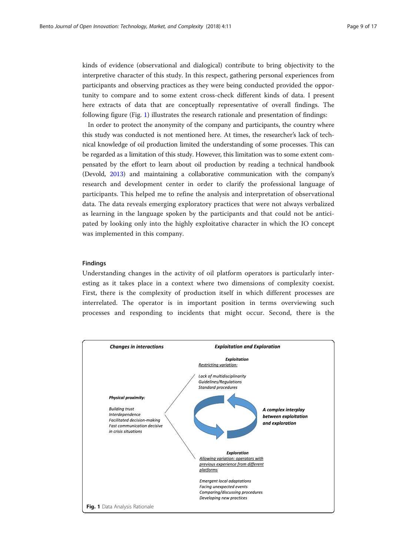kinds of evidence (observational and dialogical) contribute to bring objectivity to the interpretive character of this study. In this respect, gathering personal experiences from participants and observing practices as they were being conducted provided the opportunity to compare and to some extent cross-check different kinds of data. I present here extracts of data that are conceptually representative of overall findings. The following figure (Fig. 1) illustrates the research rationale and presentation of findings:

In order to protect the anonymity of the company and participants, the country where this study was conducted is not mentioned here. At times, the researcher's lack of technical knowledge of oil production limited the understanding of some processes. This can be regarded as a limitation of this study. However, this limitation was to some extent compensated by the effort to learn about oil production by reading a technical handbook (Devold, [2013](#page-15-0)) and maintaining a collaborative communication with the company's research and development center in order to clarify the professional language of participants. This helped me to refine the analysis and interpretation of observational data. The data reveals emerging exploratory practices that were not always verbalized as learning in the language spoken by the participants and that could not be anticipated by looking only into the highly exploitative character in which the IO concept was implemented in this company.

#### Findings

Understanding changes in the activity of oil platform operators is particularly interesting as it takes place in a context where two dimensions of complexity coexist. First, there is the complexity of production itself in which different processes are interrelated. The operator is in important position in terms overviewing such processes and responding to incidents that might occur. Second, there is the

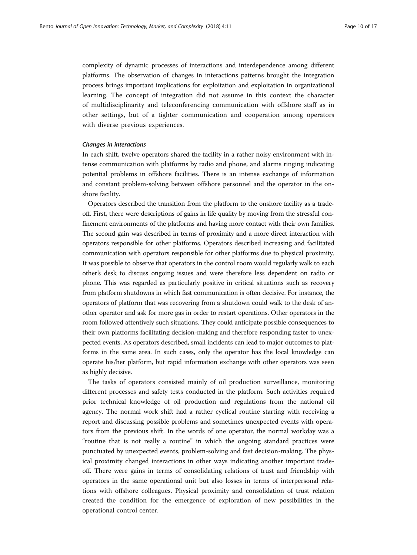complexity of dynamic processes of interactions and interdependence among different platforms. The observation of changes in interactions patterns brought the integration process brings important implications for exploitation and exploitation in organizational learning. The concept of integration did not assume in this context the character of multidisciplinarity and teleconferencing communication with offshore staff as in other settings, but of a tighter communication and cooperation among operators with diverse previous experiences.

#### Changes in interactions

In each shift, twelve operators shared the facility in a rather noisy environment with intense communication with platforms by radio and phone, and alarms ringing indicating potential problems in offshore facilities. There is an intense exchange of information and constant problem-solving between offshore personnel and the operator in the onshore facility.

Operators described the transition from the platform to the onshore facility as a tradeoff. First, there were descriptions of gains in life quality by moving from the stressful confinement environments of the platforms and having more contact with their own families. The second gain was described in terms of proximity and a more direct interaction with operators responsible for other platforms. Operators described increasing and facilitated communication with operators responsible for other platforms due to physical proximity. It was possible to observe that operators in the control room would regularly walk to each other's desk to discuss ongoing issues and were therefore less dependent on radio or phone. This was regarded as particularly positive in critical situations such as recovery from platform shutdowns in which fast communication is often decisive. For instance, the operators of platform that was recovering from a shutdown could walk to the desk of another operator and ask for more gas in order to restart operations. Other operators in the room followed attentively such situations. They could anticipate possible consequences to their own platforms facilitating decision-making and therefore responding faster to unexpected events. As operators described, small incidents can lead to major outcomes to platforms in the same area. In such cases, only the operator has the local knowledge can operate his/her platform, but rapid information exchange with other operators was seen as highly decisive.

The tasks of operators consisted mainly of oil production surveillance, monitoring different processes and safety tests conducted in the platform. Such activities required prior technical knowledge of oil production and regulations from the national oil agency. The normal work shift had a rather cyclical routine starting with receiving a report and discussing possible problems and sometimes unexpected events with operators from the previous shift. In the words of one operator, the normal workday was a "routine that is not really a routine" in which the ongoing standard practices were punctuated by unexpected events, problem-solving and fast decision-making. The physical proximity changed interactions in other ways indicating another important tradeoff. There were gains in terms of consolidating relations of trust and friendship with operators in the same operational unit but also losses in terms of interpersonal relations with offshore colleagues. Physical proximity and consolidation of trust relation created the condition for the emergence of exploration of new possibilities in the operational control center.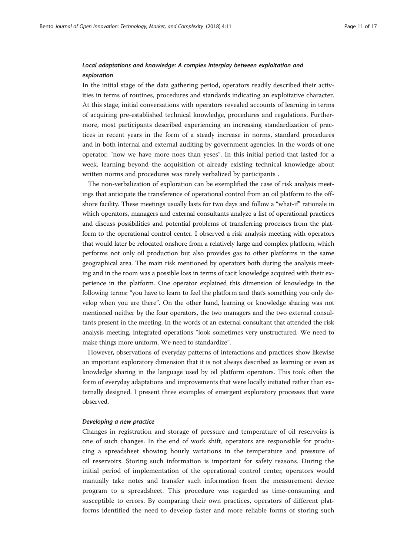#### Local adaptations and knowledge: A complex interplay between exploitation and exploration

In the initial stage of the data gathering period, operators readily described their activities in terms of routines, procedures and standards indicating an exploitative character. At this stage, initial conversations with operators revealed accounts of learning in terms of acquiring pre-established technical knowledge, procedures and regulations. Furthermore, most participants described experiencing an increasing standardization of practices in recent years in the form of a steady increase in norms, standard procedures and in both internal and external auditing by government agencies. In the words of one operator, "now we have more noes than yeses". In this initial period that lasted for a week, learning beyond the acquisition of already existing technical knowledge about written norms and procedures was rarely verbalized by participants .

The non-verbalization of exploration can be exemplified the case of risk analysis meetings that anticipate the transference of operational control from an oil platform to the offshore facility. These meetings usually lasts for two days and follow a "what-if" rationale in which operators, managers and external consultants analyze a list of operational practices and discuss possibilities and potential problems of transferring processes from the platform to the operational control center. I observed a risk analysis meeting with operators that would later be relocated onshore from a relatively large and complex platform, which performs not only oil production but also provides gas to other platforms in the same geographical area. The main risk mentioned by operators both during the analysis meeting and in the room was a possible loss in terms of tacit knowledge acquired with their experience in the platform. One operator explained this dimension of knowledge in the following terms: "you have to learn to feel the platform and that's something you only develop when you are there". On the other hand, learning or knowledge sharing was not mentioned neither by the four operators, the two managers and the two external consultants present in the meeting. In the words of an external consultant that attended the risk analysis meeting, integrated operations "look sometimes very unstructured. We need to make things more uniform. We need to standardize".

However, observations of everyday patterns of interactions and practices show likewise an important exploratory dimension that it is not always described as learning or even as knowledge sharing in the language used by oil platform operators. This took often the form of everyday adaptations and improvements that were locally initiated rather than externally designed. I present three examples of emergent exploratory processes that were observed.

#### Developing a new practice

Changes in registration and storage of pressure and temperature of oil reservoirs is one of such changes. In the end of work shift, operators are responsible for producing a spreadsheet showing hourly variations in the temperature and pressure of oil reservoirs. Storing such information is important for safety reasons. During the initial period of implementation of the operational control center, operators would manually take notes and transfer such information from the measurement device program to a spreadsheet. This procedure was regarded as time-consuming and susceptible to errors. By comparing their own practices, operators of different platforms identified the need to develop faster and more reliable forms of storing such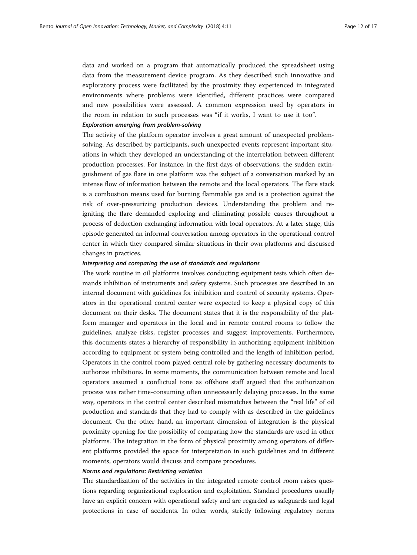data and worked on a program that automatically produced the spreadsheet using data from the measurement device program. As they described such innovative and exploratory process were facilitated by the proximity they experienced in integrated environments where problems were identified, different practices were compared and new possibilities were assessed. A common expression used by operators in the room in relation to such processes was "if it works, I want to use it too".

#### Exploration emerging from problem-solving

The activity of the platform operator involves a great amount of unexpected problemsolving. As described by participants, such unexpected events represent important situations in which they developed an understanding of the interrelation between different production processes. For instance, in the first days of observations, the sudden extinguishment of gas flare in one platform was the subject of a conversation marked by an intense flow of information between the remote and the local operators. The flare stack is a combustion means used for burning flammable gas and is a protection against the risk of over-pressurizing production devices. Understanding the problem and reigniting the flare demanded exploring and eliminating possible causes throughout a process of deduction exchanging information with local operators. At a later stage, this episode generated an informal conversation among operators in the operational control center in which they compared similar situations in their own platforms and discussed changes in practices.

#### Interpreting and comparing the use of standards and regulations

The work routine in oil platforms involves conducting equipment tests which often demands inhibition of instruments and safety systems. Such processes are described in an internal document with guidelines for inhibition and control of security systems. Operators in the operational control center were expected to keep a physical copy of this document on their desks. The document states that it is the responsibility of the platform manager and operators in the local and in remote control rooms to follow the guidelines, analyze risks, register processes and suggest improvements. Furthermore, this documents states a hierarchy of responsibility in authorizing equipment inhibition according to equipment or system being controlled and the length of inhibition period. Operators in the control room played central role by gathering necessary documents to authorize inhibitions. In some moments, the communication between remote and local operators assumed a conflictual tone as offshore staff argued that the authorization process was rather time-consuming often unnecessarily delaying processes. In the same way, operators in the control center described mismatches between the "real life" of oil production and standards that they had to comply with as described in the guidelines document. On the other hand, an important dimension of integration is the physical proximity opening for the possibility of comparing how the standards are used in other platforms. The integration in the form of physical proximity among operators of different platforms provided the space for interpretation in such guidelines and in different moments, operators would discuss and compare procedures.

#### Norms and regulations: Restricting variation

The standardization of the activities in the integrated remote control room raises questions regarding organizational exploration and exploitation. Standard procedures usually have an explicit concern with operational safety and are regarded as safeguards and legal protections in case of accidents. In other words, strictly following regulatory norms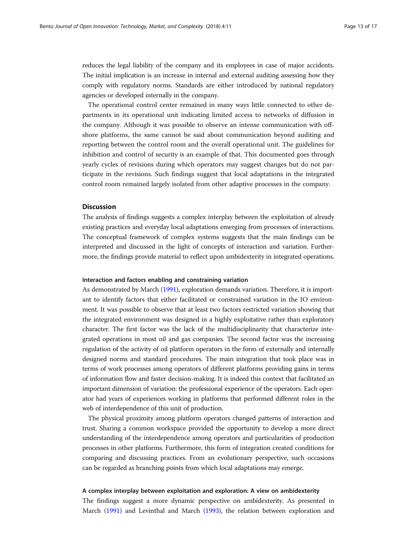reduces the legal liability of the company and its employees in case of major accidents. The initial implication is an increase in internal and external auditing assessing how they comply with regulatory norms. Standards are either introduced by national regulatory agencies or developed internally in the company.

The operational control center remained in many ways little connected to other departments in its operational unit indicating limited access to networks of diffusion in the company. Although it was possible to observe an intense communication with offshore platforms, the same cannot be said about communication beyond auditing and reporting between the control room and the overall operational unit. The guidelines for inhibition and control of security is an example of that. This documented goes through yearly cycles of revisions during which operators may suggest changes but do not participate in the revisions. Such findings suggest that local adaptations in the integrated control room remained largely isolated from other adaptive processes in the company.

#### **Discussion**

The analysis of findings suggests a complex interplay between the exploitation of already existing practices and everyday local adaptations emerging from processes of interactions. The conceptual framework of complex systems suggests that the main findings can be interpreted and discussed in the light of concepts of interaction and variation. Furthermore, the findings provide material to reflect upon ambidexterity in integrated operations.

#### Interaction and factors enabling and constraining variation

As demonstrated by March ([1991\)](#page-16-0), exploration demands variation. Therefore, it is important to identify factors that either facilitated or constrained variation in the IO environment. It was possible to observe that at least two factors restricted variation showing that the integrated environment was designed in a highly exploitative rather than exploratory character. The first factor was the lack of the multidisciplinarity that characterize integrated operations in most oil and gas companies. The second factor was the increasing regulation of the activity of oil platform operators in the form of externally and internally designed norms and standard procedures. The main integration that took place was in terms of work processes among operators of different platforms providing gains in terms of information flow and faster decision-making. It is indeed this context that facilitated an important dimension of variation: the professional experience of the operators. Each operator had years of experiences working in platforms that performed different roles in the web of interdependence of this unit of production.

The physical proximity among platform operators changed patterns of interaction and trust. Sharing a common workspace provided the opportunity to develop a more direct understanding of the interdependence among operators and particularities of production processes in other platforms. Furthermore, this form of integration created conditions for comparing and discussing practices. From an evolutionary perspective, such occasions can be regarded as branching points from which local adaptations may emerge.

#### A complex interplay between exploitation and exploration: A view on ambidexterity

The findings suggest a more dynamic perspective on ambidexterity. As presented in March ([1991](#page-16-0)) and Levinthal and March [\(1993\)](#page-15-0), the relation between exploration and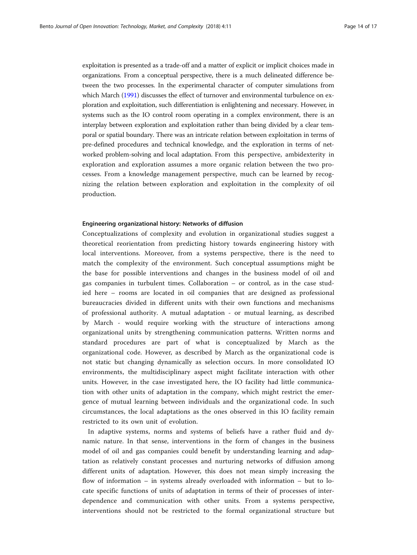exploitation is presented as a trade-off and a matter of explicit or implicit choices made in organizations. From a conceptual perspective, there is a much delineated difference between the two processes. In the experimental character of computer simulations from which March ([1991\)](#page-16-0) discusses the effect of turnover and environmental turbulence on exploration and exploitation, such differentiation is enlightening and necessary. However, in systems such as the IO control room operating in a complex environment, there is an interplay between exploration and exploitation rather than being divided by a clear temporal or spatial boundary. There was an intricate relation between exploitation in terms of pre-defined procedures and technical knowledge, and the exploration in terms of networked problem-solving and local adaptation. From this perspective, ambidexterity in exploration and exploration assumes a more organic relation between the two processes. From a knowledge management perspective, much can be learned by recognizing the relation between exploration and exploitation in the complexity of oil production.

#### Engineering organizational history: Networks of diffusion

Conceptualizations of complexity and evolution in organizational studies suggest a theoretical reorientation from predicting history towards engineering history with local interventions. Moreover, from a systems perspective, there is the need to match the complexity of the environment. Such conceptual assumptions might be the base for possible interventions and changes in the business model of oil and gas companies in turbulent times. Collaboration – or control, as in the case studied here – rooms are located in oil companies that are designed as professional bureaucracies divided in different units with their own functions and mechanisms of professional authority. A mutual adaptation - or mutual learning, as described by March - would require working with the structure of interactions among organizational units by strengthening communication patterns. Written norms and standard procedures are part of what is conceptualized by March as the organizational code. However, as described by March as the organizational code is not static but changing dynamically as selection occurs. In more consolidated IO environments, the multidisciplinary aspect might facilitate interaction with other units. However, in the case investigated here, the IO facility had little communication with other units of adaptation in the company, which might restrict the emergence of mutual learning between individuals and the organizational code. In such circumstances, the local adaptations as the ones observed in this IO facility remain restricted to its own unit of evolution.

In adaptive systems, norms and systems of beliefs have a rather fluid and dynamic nature. In that sense, interventions in the form of changes in the business model of oil and gas companies could benefit by understanding learning and adaptation as relatively constant processes and nurturing networks of diffusion among different units of adaptation. However, this does not mean simply increasing the flow of information – in systems already overloaded with information – but to locate specific functions of units of adaptation in terms of their of processes of interdependence and communication with other units. From a systems perspective, interventions should not be restricted to the formal organizational structure but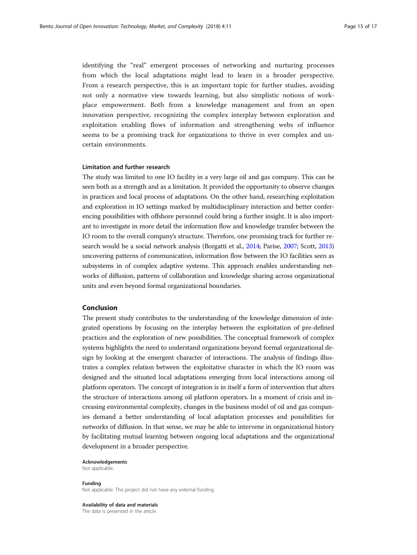identifying the "real" emergent processes of networking and nurturing processes from which the local adaptations might lead to learn in a broader perspective. From a research perspective, this is an important topic for further studies, avoiding not only a normative view towards learning, but also simplistic notions of workplace empowerment. Both from a knowledge management and from an open innovation perspective, recognizing the complex interplay between exploration and exploitation enabling flows of information and strengthening webs of influence seems to be a promising track for organizations to thrive in ever complex and uncertain environments.

#### Limitation and further research

The study was limited to one IO facility in a very large oil and gas company. This can be seen both as a strength and as a limitation. It provided the opportunity to observe changes in practices and local process of adaptations. On the other hand, researching exploitation and exploration in IO settings marked by multidisciplinary interaction and better conferencing possibilities with offshore personnel could bring a further insight. It is also important to investigate in more detail the information flow and knowledge transfer between the IO room to the overall company's structure. Therefore, one promising track for further research would be a social network analysis (Borgatti et al., [2014;](#page-15-0) Parise, [2007](#page-16-0); Scott, [2013](#page-16-0)) uncovering patterns of communication, information flow between the IO facilities seen as subsystems in of complex adaptive systems. This approach enables understanding networks of diffusion, patterns of collaboration and knowledge sharing across organizational units and even beyond formal organizational boundaries.

#### Conclusion

The present study contributes to the understanding of the knowledge dimension of integrated operations by focusing on the interplay between the exploitation of pre-defined practices and the exploration of new possibilities. The conceptual framework of complex systems highlights the need to understand organizations beyond formal organizational design by looking at the emergent character of interactions. The analysis of findings illustrates a complex relation between the exploitative character in which the IO room was designed and the situated local adaptations emerging from local interactions among oil platform operators. The concept of integration is in itself a form of intervention that alters the structure of interactions among oil platform operators. In a moment of crisis and increasing environmental complexity, changes in the business model of oil and gas companies demand a better understanding of local adaptation processes and possibilities for networks of diffusion. In that sense, we may be able to intervene in organizational history by facilitating mutual learning between ongoing local adaptations and the organizational development in a broader perspective.

#### Acknowledgements

Not applicable.

Funding Not applicable. This project did not have any external funding.

Availability of data and materials The data is presented in the article.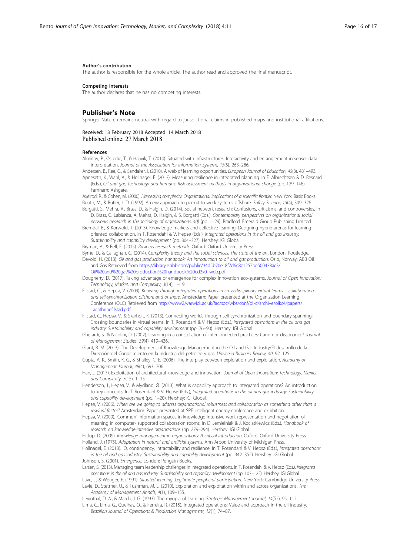#### <span id="page-15-0"></span>Author's contribution

The author is responsible for the whole article. The author read and approved the final manuscript.

#### Competing interests

The author declares that he has no competing interests.

#### Publisher's Note

Springer Nature remains neutral with regard to jurisdictional claims in published maps and institutional affiliations.

#### Received: 13 February 2018 Accepted: 14 March 2018 Published online: 27 March 2018

#### References

Almklov, P., Østerlie, T., & Haavik, T. (2014). Situated with infrastructures: Interactivity and entanglement in sensor data interpretation. Journal of the Association for Information Systems, 15(5), 263–286.

Andersen, B., Ree, G., & Sandaker, I. (2010). A web of learning opportunities. European Journal of Education, 45(3), 481–493.

Apneseth, K., Wahl, A., & Hollnagel, E. (2013). Measuring resilience in integrated planning. In E. Albrechtsen & D. Besnard (Eds.), Oil and gas, technology and humans: Risk assessment methods in organizational change (pp. 129–146). Farnham: Ashgate.

Axelrod, R., & Cohen, M. (2000). Harnessing complexity: Organizational implications of a scientific frontier. New York: Basic Books. Booth, M., & Butler, J. D. (1992). A new approach to permit to work systems offshore. Safety Science, 15(4), 309–326.

- Borgatti, S., Mehra, A., Brass, D., & Halgin, D. (2014). Social network research: Confusions, criticisms, and controversies. In D. Brass, G. Labianca, A. Mehra, D. Halgin, & S. Borgatti (Eds.), Contemporary perspectives on organizational social networks (research in the sociology of organizations, 40) (pp. 1–29). Bradford: Emerald Group Publishing Limited.
- Bremdal, B., & Korsvold, T. (2013). Knowledge markets and collective learning. Designing hybrid arenas for learning oriented collaboration. In T. Rosendahl & V. Hepsø (Eds.), Integrated operations in the oil and gas industry: Sustainability and capability development (pp. 304–327). Hershey: IGI Global.

Bryman, A., & Bell, E. (2015). Business research methods. Oxford: Oxford University Press.

Byrne, D., & Callaghan, G. (2014). Complexity theory and the social sciences. The state of the art. London: Routledge.

- Devold, H. (2013). Oil and gas production handbook: An introduction to oil and gas production. Oslo, Norway: ABB Oil and Gas Retrieved from [https://library.e.abb.com/public/34d5b70e18f7d6c8c1257be500438ac3/](https://library.e.abb.com/public/34d5b70e18f7d6c8c1257be500438ac3/Oil%20and%20gas%20production%20handbook%20ed3x0_web.pdf)
	- [Oil%20and%20gas%20production%20handbook%20ed3x0\\_web.pdf](https://library.e.abb.com/public/34d5b70e18f7d6c8c1257be500438ac3/Oil%20and%20gas%20production%20handbook%20ed3x0_web.pdf).
- Dougherty, D. (2017). Taking advantage of emergence for complex innovation eco-systems. Journal of Open Innovation: Technology, Market, and Complexity, 3(14), 1–19.
- Filstad, C., & Hepsø, V. (2009). Knowing through integrated operations in cross-disciplinary virtual teams collaboration and self-synchronization offshore and onshore. Amsterdam: Paper presented at the Organization Learning Conference (OLC) Retrieved from [http://www2.warwick.ac.uk/fac/soc/wbs/conf/olkc/archive/olkc4/papers/](http://www2.warwick.ac.uk/fac/soc/wbs/conf/olkc/archive/olkc4/papers/1acathrinefilstad.pdf) 1acathrinefilstad.pdf
- Filstad, C., Hepsø, V., & Skarholt, K. (2013). Connecting worlds through self-synchronization and boundary spanning: Crossing boundaries in virtual teams. In T. Rosendahl & V. Hepsø (Eds.), Integrated operations in the oil and gas industry: Sustainability and capability development (pp. 76–90). Hershey: IGI Global.

Gherardi, S., & Nicolini, D. (2002). Learning in a constellation of interconnected practices: Canon or dissonance? Journal of Management Studies, 39(4), 419–436.

- Grant, R. M. (2013). The Development of Knowledge Management in the Oil and Gas Industry/El desarrollo de la Dirección del Conocimiento en la industria del petroleo y gas. Universia Business Review, 40, 92–125.
- Gupta, A. K., Smith, K. G., & Shalley, C. E. (2006). The interplay between exploration and exploitation. Academy of Management Journal, 49(4), 693–706.
- Han, J. (2017). Exploitation of architectural knowledge and innovation. Journal of Open Innovation: Technology, Market, and Complexity, 3(15), 1–15.
- Henderson, J., Hepsø, V., & Mydland, Ø. (2013). What is capability approach to integrated operations? An introduction to key concepts. In T. Rosendahl & V. Hepsø (Eds.), Integrated operations in the oil and gas industry: Sustainability and capability development (pp. 1–20). Hershey: IGI Global.
- Hepsø, V. (2006). When are we going to address organizational robustness and collaboration as something other than a residual factor? Amsterdam: Paper presented at SPE intelligent energy conference and exhibition.

Hepsø, V. (2009). 'Common' information spaces in knowledge-intensive work representation and negotiation of meaning in computer- supported collaboration rooms. In D. Jemielniak & J. Kociatkiewicz (Eds.), Handbook of research on knowledge-intensive organizations (pp. 279–294). Hershey: IGI Global.

Hislop, D. (2009). Knowledge management in organizations: A critical introduction. Oxford: Oxford University Press. Holland, J. (1975). Adaptation in natural and artificial systems. Ann Arbor: University of Michigan Press.

Hollnagel, E. (2013). IO, contingency, intractability and resilience. In T. Rosendahl & V. Hepsø (Eds.), Integrated operations in the oil and gas industry: Sustainability and capability development (pp. 342–352). Hershey: IGI Global. Johnson, S. (2001). Emergence. London: Penguin Books.

Larsen, S. (2013). Managing team leadership challenges in integrated operations. In T. Rosendahl & V. Hepsø (Eds.), Integrated operations in the oil and gas industry: Sustainability and capability development (pp. 103–122). Hershey: IGI Global.

Lave, J., & Wenger, E. (1991). Situated learning: Legitimate peripheral participation. New York: Cambridge University Press. Lavie, D., Stettner, U., & Tushman, M. L. (2010). Exploration and exploitation within and across organizations. The Academy of Management Annals, 4(1), 109–155.

Levinthal, D. A., & March, J. G. (1993). The myopia of learning. Strategic Management Journal, 14(S2), 95–112.

Lima, C., Lima, G., Quelhas, O., & Ferreira, R. (2015). Integrated operations: Value and approach in the oil industry. Brazilian Journal of Operations & Production Management, 12(1), 74–87.